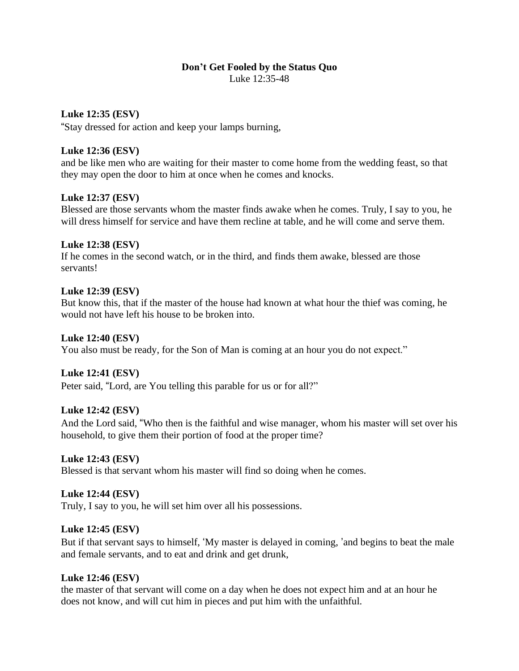# **Don't Get Fooled by the Status Quo**

Luke 12:35-48

## **Luke 12:35 (ESV)**

"Stay dressed for action and keep your lamps burning,

## **Luke 12:36 (ESV)**

and be like men who are waiting for their master to come home from the wedding feast, so that they may open the door to him at once when he comes and knocks.

## **Luke 12:37 (ESV)**

Blessed are those servants whom the master finds awake when he comes. Truly, I say to you, he will dress himself for service and have them recline at table, and he will come and serve them.

## **Luke 12:38 (ESV)**

If he comes in the second watch, or in the third, and finds them awake, blessed are those servants!

## **Luke 12:39 (ESV)**

But know this, that if the master of the house had known at what hour the thief was coming, he would not have left his house to be broken into.

## **Luke 12:40 (ESV)**

You also must be ready, for the Son of Man is coming at an hour you do not expect."

# **Luke 12:41 (ESV)**

Peter said, "Lord, are You telling this parable for us or for all?"

#### **Luke 12:42 (ESV)**

And the Lord said, "Who then is the faithful and wise manager, whom his master will set over his household, to give them their portion of food at the proper time?

#### **Luke 12:43 (ESV)**

Blessed is that servant whom his master will find so doing when he comes.

# **Luke 12:44 (ESV)**

Truly, I say to you, he will set him over all his possessions.

#### **Luke 12:45 (ESV)**

But if that servant says to himself, 'My master is delayed in coming, 'and begins to beat the male and female servants, and to eat and drink and get drunk,

#### **Luke 12:46 (ESV)**

the master of that servant will come on a day when he does not expect him and at an hour he does not know, and will cut him in pieces and put him with the unfaithful.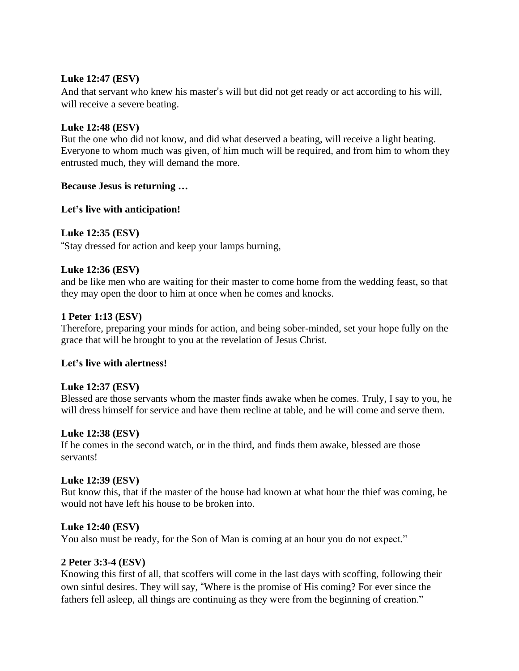## **Luke 12:47 (ESV)**

And that servant who knew his master's will but did not get ready or act according to his will, will receive a severe beating.

## **Luke 12:48 (ESV)**

But the one who did not know, and did what deserved a beating, will receive a light beating. Everyone to whom much was given, of him much will be required, and from him to whom they entrusted much, they will demand the more.

## **Because Jesus is returning …**

#### **Let's live with anticipation!**

## **Luke 12:35 (ESV)**

"Stay dressed for action and keep your lamps burning,

## **Luke 12:36 (ESV)**

and be like men who are waiting for their master to come home from the wedding feast, so that they may open the door to him at once when he comes and knocks.

## **1 Peter 1:13 (ESV)**

Therefore, preparing your minds for action, and being sober-minded, set your hope fully on the grace that will be brought to you at the revelation of Jesus Christ.

#### **Let's live with alertness!**

# **Luke 12:37 (ESV)**

Blessed are those servants whom the master finds awake when he comes. Truly, I say to you, he will dress himself for service and have them recline at table, and he will come and serve them.

#### **Luke 12:38 (ESV)**

If he comes in the second watch, or in the third, and finds them awake, blessed are those servants!

#### **Luke 12:39 (ESV)**

But know this, that if the master of the house had known at what hour the thief was coming, he would not have left his house to be broken into.

#### **Luke 12:40 (ESV)**

You also must be ready, for the Son of Man is coming at an hour you do not expect."

# **2 Peter 3:3-4 (ESV)**

Knowing this first of all, that scoffers will come in the last days with scoffing, following their own sinful desires. They will say, "Where is the promise of His coming? For ever since the fathers fell asleep, all things are continuing as they were from the beginning of creation."